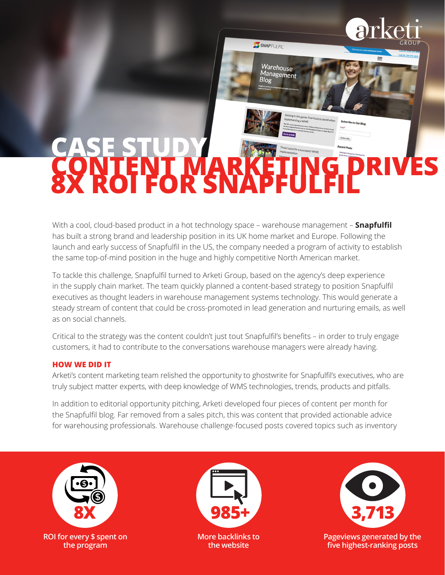SNAPFULFIL'

Warehouse Management

## **CONTENT MARKETING DRIVES 8X ROI FOR SNAPFULFIL CASE STUDY**

With a cool, cloud-based product in a hot technology space – warehouse management – **Snapfulfil** has built a strong brand and leadership position in its UK home market and Europe. Following the launch and early success of Snapfulfil in the US, the company needed a program of activity to establish the same top-of-mind position in the huge and highly competitive North American market.

To tackle this challenge, Snapfulfil turned to Arketi Group, based on the agency's deep experience in the supply chain market. The team quickly planned a content-based strategy to position Snapfulfil executives as thought leaders in warehouse management systems technology. This would generate a steady stream of content that could be cross-promoted in lead generation and nurturing emails, as well as on social channels.

Critical to the strategy was the content couldn't just tout Snapfulfil's benefits – in order to truly engage customers, it had to contribute to the conversations warehouse managers were already having.

## **HOW WE DID IT**

Arketi's content marketing team relished the opportunity to ghostwrite for Snapfulfil's executives, who are truly subject matter experts, with deep knowledge of WMS technologies, trends, products and pitfalls.

In addition to editorial opportunity pitching, Arketi developed four pieces of content per month for the Snapfulfil blog. Far removed from a sales pitch, this was content that provided actionable advice for warehousing professionals. Warehouse challenge-focused posts covered topics such as inventory





**More backlinks to the website**



**Pageviews generated by the five highest-ranking posts**